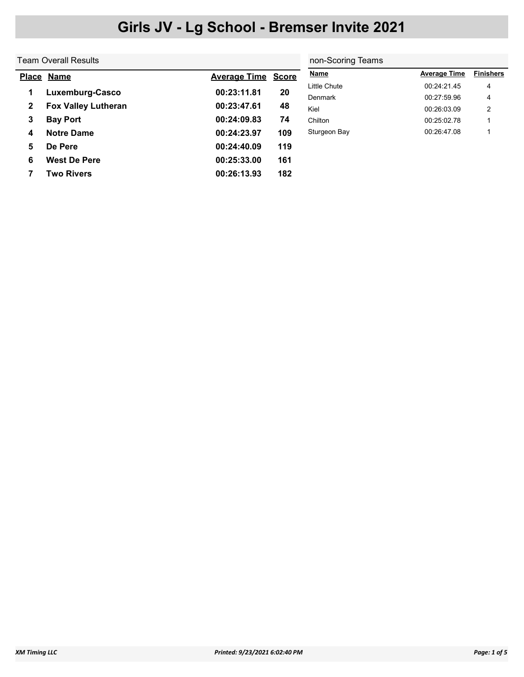|              | Team Overall Results       | non-Scoring Teams   |              |                     |                     |                  |
|--------------|----------------------------|---------------------|--------------|---------------------|---------------------|------------------|
|              | Place Name                 | <b>Average Time</b> | <b>Score</b> | <b>Name</b>         | <b>Average Time</b> | <b>Finishers</b> |
| 1            | Luxemburg-Casco            | 00:23:11.81         | 20           | <b>Little Chute</b> | 00:24:21.45         | 4                |
|              |                            |                     |              | Denmark             | 00:27:59.96         | 4                |
| $\mathbf{2}$ | <b>Fox Valley Lutheran</b> | 00:23:47.61         | 48           | Kiel                | 00:26:03.09         | 2                |
| 3            | <b>Bay Port</b>            | 00:24:09.83         | 74           | Chilton             | 00:25:02.78         |                  |
| 4            | <b>Notre Dame</b>          | 00:24:23.97         | 109          | Sturgeon Bay        | 00:26:47.08         |                  |
| 5            | De Pere                    | 00:24:40.09         | 119          |                     |                     |                  |
| 6            | <b>West De Pere</b>        | 00:25:33.00         | 161          |                     |                     |                  |
|              | <b>Two Rivers</b>          | 00:26:13.93         | 182          |                     |                     |                  |
|              |                            |                     |              |                     |                     |                  |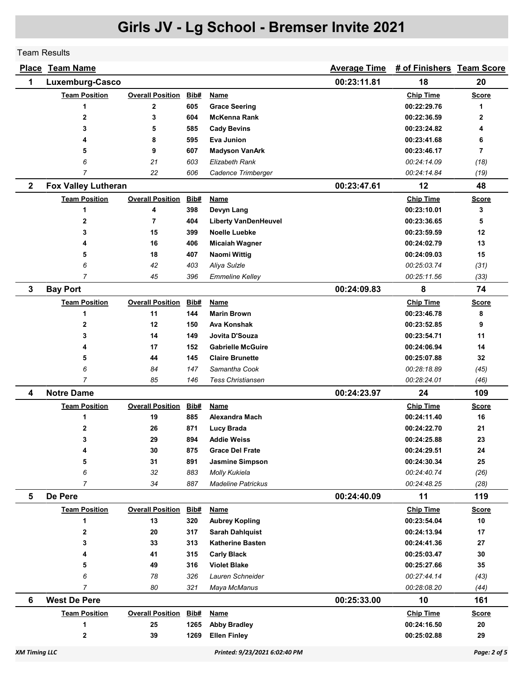Team Results

|              | Place Team Name            |                         |            |                                              | <b>Average Time</b> | # of Finishers Team Score  |                    |
|--------------|----------------------------|-------------------------|------------|----------------------------------------------|---------------------|----------------------------|--------------------|
| 1            | Luxemburg-Casco            |                         |            |                                              | 00:23:11.81         | 18                         | 20                 |
|              | <b>Team Position</b>       | <b>Overall Position</b> | Bib#       | Name                                         |                     | <b>Chip Time</b>           | <b>Score</b>       |
|              | 1                          | $\mathbf 2$             | 605        | <b>Grace Seering</b>                         |                     | 00:22:29.76                | 1                  |
|              | $\mathbf{2}$               | 3                       | 604        | <b>McKenna Rank</b>                          |                     | 00:22:36.59                | 2                  |
|              | 3                          | 5                       | 585        | <b>Cady Bevins</b>                           |                     | 00:23:24.82                | 4                  |
|              | 4                          | 8                       | 595        | Eva Junion                                   |                     | 00:23:41.68                | 6                  |
|              | 5                          | 9                       | 607        | <b>Madyson VanArk</b>                        |                     | 00:23:46.17                | $\overline{7}$     |
|              | 6                          | 21                      | 603        | <b>Elizabeth Rank</b>                        |                     | 00:24:14.09                | (18)               |
|              | 7                          | 22                      | 606        | Cadence Trimberger                           |                     | 00:24:14.84                | (19)               |
| $\mathbf{2}$ | <b>Fox Valley Lutheran</b> |                         |            |                                              | 00:23:47.61         | 12                         | 48                 |
|              | <b>Team Position</b>       | <b>Overall Position</b> | Bib#       | Name                                         |                     | <b>Chip Time</b>           | <b>Score</b>       |
|              | 1                          | 4                       | 398        | Devyn Lang                                   |                     | 00:23:10.01                | 3                  |
|              | 2                          | $\overline{7}$          | 404        | <b>Liberty VanDenHeuvel</b>                  |                     | 00:23:36.65                | 5                  |
|              | 3                          | 15                      | 399        | <b>Noelle Luebke</b>                         |                     | 00:23:59.59                | 12                 |
|              | 4                          | 16                      | 406        | <b>Micaiah Wagner</b>                        |                     | 00:24:02.79                | 13                 |
|              | 5                          | 18                      | 407        | <b>Naomi Wittig</b>                          |                     | 00:24:09.03                | 15                 |
|              | 6                          | 42                      | 403        | Aliya Sulzle                                 |                     | 00:25:03.74                | (31)               |
|              | 7                          | 45                      | 396        | <b>Emmeline Kelley</b>                       |                     | 00:25:11.56                | (33)               |
| 3            | <b>Bay Port</b>            |                         |            |                                              | 00:24:09.83         | 8                          | 74                 |
|              | <b>Team Position</b>       | <b>Overall Position</b> | Bib#       | Name                                         |                     | <b>Chip Time</b>           | <u>Score</u>       |
|              | 1                          | 11                      | 144        | <b>Marin Brown</b>                           |                     | 00:23:46.78                | 8                  |
|              | 2                          | 12                      | 150        | Ava Konshak                                  |                     | 00:23:52.85                | 9                  |
|              | 3                          | 14                      | 149        | Jovita D'Souza                               |                     | 00:23:54.71                | 11                 |
|              | 4                          | 17                      | 152        | <b>Gabrielle McGuire</b>                     |                     | 00:24:06.94                | 14                 |
|              | 5                          | 44                      | 145        | <b>Claire Brunette</b>                       |                     | 00:25:07.88                | 32                 |
|              | 6                          | 84                      | 147        | Samantha Cook                                |                     | 00:28:18.89                | (45)               |
|              | 7                          | 85                      | 146        | <b>Tess Christiansen</b>                     |                     | 00:28:24.01                | (46)               |
| 4            | <b>Notre Dame</b>          |                         |            |                                              | 00:24:23.97         | 24                         | 109                |
|              | <b>Team Position</b>       | <b>Overall Position</b> | Bib#       | <b>Name</b>                                  |                     | <b>Chip Time</b>           | <b>Score</b>       |
|              | 1                          | 19                      | 885        | Alexandra Mach                               |                     | 00:24:11.40                | 16                 |
|              | 2                          | 26                      | 871        | <b>Lucy Brada</b>                            |                     | 00:24:22.70                | 21                 |
|              | 3                          | 29                      | 894        | <b>Addie Weiss</b><br><b>Grace Del Frate</b> |                     | 00:24:25.88                | 23                 |
|              | 4<br>5                     | 30                      | 875<br>891 |                                              |                     | 00:24:29.51<br>00:24:30.34 | 24<br>25           |
|              | 6                          | 31<br>32                | 883        | <b>Jasmine Simpson</b><br>Molly Kukiela      |                     | 00:24:40.74                |                    |
|              | $\overline{7}$             | 34                      | 887        | <b>Madeline Patrickus</b>                    |                     | 00:24:48.25                | (26)<br>(28)       |
| 5            | De Pere                    |                         |            |                                              | 00:24:40.09         | 11                         | 119                |
|              | <b>Team Position</b>       | <b>Overall Position</b> | Bib#       | <b>Name</b>                                  |                     | <b>Chip Time</b>           |                    |
|              | 1                          | 13                      | 320        | <b>Aubrey Kopling</b>                        |                     | 00:23:54.04                | <b>Score</b><br>10 |
|              | $\mathbf{2}$               | 20                      | 317        | <b>Sarah Dahlquist</b>                       |                     | 00:24:13.94                | 17                 |
|              | 3                          | 33                      | 313        | <b>Katherine Basten</b>                      |                     | 00:24:41.36                | 27                 |
|              | 4                          | 41                      | 315        | <b>Carly Black</b>                           |                     | 00:25:03.47                | 30                 |
|              | 5                          | 49                      | 316        | <b>Violet Blake</b>                          |                     | 00:25:27.66                | 35                 |
|              | 6                          | 78                      | 326        | Lauren Schneider                             |                     | 00:27:44.14                | (43)               |
|              | $\overline{7}$             | 80                      | 321        | Maya McManus                                 |                     | 00:28:08.20                | (44)               |
| 6            | <b>West De Pere</b>        |                         |            |                                              | 00:25:33.00         | 10                         | 161                |
|              | <b>Team Position</b>       | <b>Overall Position</b> | Bib#       | <b>Name</b>                                  |                     | <b>Chip Time</b>           | <b>Score</b>       |
|              | 1                          | 25                      | 1265       | <b>Abby Bradley</b>                          |                     | 00:24:16.50                | 20                 |
|              | $\mathbf 2$                | 39                      | 1269       | <b>Ellen Finley</b>                          |                     | 00:25:02.88                | 29                 |
|              |                            |                         |            |                                              |                     |                            |                    |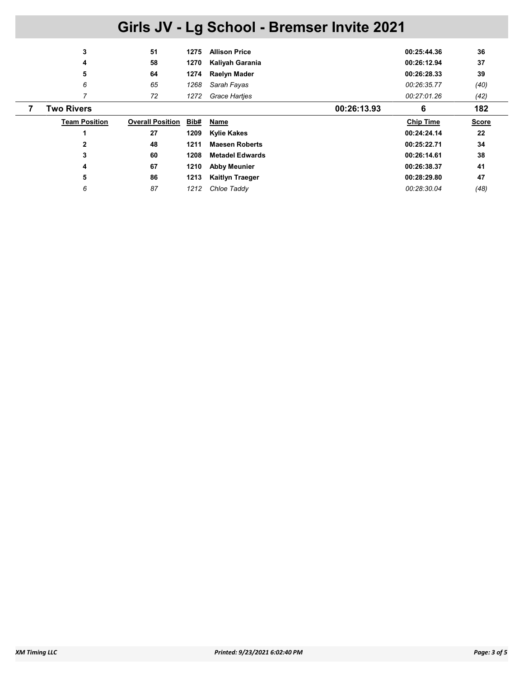| 3                    | 51                      | 1275 | <b>Allison Price</b>   | 00:25:44.36      | 36           |
|----------------------|-------------------------|------|------------------------|------------------|--------------|
| 4                    | 58                      | 1270 | Kaliyah Garania        | 00:26:12.94      | 37           |
| 5                    | 64                      | 1274 | Raelyn Mader           | 00:26:28.33      | 39           |
| 6                    | 65                      | 1268 | Sarah Fayas            | 00:26:35.77      | (40)         |
|                      | 72                      | 1272 | <b>Grace Hartjes</b>   | 00:27:01.26      | (42)         |
| <b>Two Rivers</b>    |                         |      | 00:26:13.93            | 6                | 182          |
|                      |                         |      |                        |                  |              |
| <b>Team Position</b> | <b>Overall Position</b> | Bib# | Name                   | <b>Chip Time</b> | <b>Score</b> |
|                      | 27                      | 1209 | <b>Kylie Kakes</b>     | 00:24:24.14      | 22           |
| $\mathbf{2}$         | 48                      | 1211 | <b>Maesen Roberts</b>  | 00:25:22.71      | 34           |
| 3                    | 60                      | 1208 | <b>Metadel Edwards</b> | 00:26:14.61      | 38           |
| 4                    | 67                      | 1210 | <b>Abby Meunier</b>    | 00:26:38.37      | 41           |
| 5                    | 86                      | 1213 | <b>Kaitlyn Traeger</b> | 00:28:29.80      | 47           |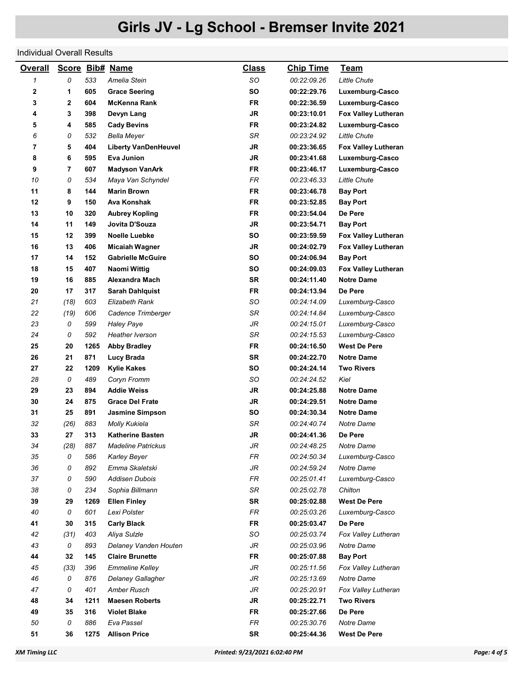### Individual Overall Results

| <b>Overall</b>             |                |      | Score Bib# Name             | <u>Class</u> | <b>Chip Time</b> | <b>Team</b>         |
|----------------------------|----------------|------|-----------------------------|--------------|------------------|---------------------|
| $\boldsymbol{\mathcal{I}}$ | 0              | 533  | Amelia Stein                | SO           | 00:22:09.26      | <b>Little Chute</b> |
| 2                          | 1              | 605  | <b>Grace Seering</b>        | <b>SO</b>    | 00:22:29.76      | Luxemburg-Casco     |
| 3                          | $\mathbf{2}$   | 604  | McKenna Rank                | <b>FR</b>    | 00:22:36.59      | Luxemburg-Casco     |
| 4                          | 3              | 398  | Devyn Lang                  | JR           | 00:23:10.01      | Fox Valley Lutheran |
| 5                          | 4              | 585  | <b>Cady Bevins</b>          | <b>FR</b>    | 00:23:24.82      | Luxemburg-Casco     |
| 6                          | 0              | 532  | <b>Bella Meyer</b>          | <b>SR</b>    | 00:23:24.92      | <b>Little Chute</b> |
| 7                          | 5              | 404  | <b>Liberty VanDenHeuvel</b> | JR           | 00:23:36.65      | Fox Valley Lutheran |
| 8                          | 6              | 595  | Eva Junion                  | JR           | 00:23:41.68      | Luxemburg-Casco     |
| 9                          | $\overline{7}$ | 607  | <b>Madyson VanArk</b>       | FR           | 00:23:46.17      | Luxemburg-Casco     |
| 10                         | 0              | 534  | Maya Van Schyndel           | FR           | 00:23:46.33      | <b>Little Chute</b> |
| 11                         | 8              | 144  | <b>Marin Brown</b>          | FR           | 00:23:46.78      | <b>Bay Port</b>     |
| 12                         | 9              | 150  | Ava Konshak                 | <b>FR</b>    | 00:23:52.85      | <b>Bay Port</b>     |
| 13                         | 10             | 320  | <b>Aubrey Kopling</b>       | <b>FR</b>    | 00:23:54.04      | De Pere             |
| 14                         | 11             | 149  | Jovita D'Souza              | JR           | 00:23:54.71      | <b>Bay Port</b>     |
| 15                         | 12             | 399  | <b>Noelle Luebke</b>        | <b>SO</b>    | 00:23:59.59      | Fox Valley Lutheran |
| 16                         | 13             | 406  | <b>Micaiah Wagner</b>       | JR           | 00:24:02.79      | Fox Valley Lutheran |
| 17                         | 14             | 152  | <b>Gabrielle McGuire</b>    | SO           | 00:24:06.94      | <b>Bay Port</b>     |
| 18                         | 15             | 407  | <b>Naomi Wittig</b>         | <b>SO</b>    | 00:24:09.03      | Fox Valley Lutheran |
| 19                         | 16             | 885  | Alexandra Mach              | SR           | 00:24:11.40      | <b>Notre Dame</b>   |
| 20                         | 17             | 317  | <b>Sarah Dahlquist</b>      | <b>FR</b>    | 00:24:13.94      | De Pere             |
| 21                         | (18)           | 603  | <b>Elizabeth Rank</b>       | SO           | 00:24:14.09      | Luxemburg-Casco     |
| 22                         | (19)           | 606  | Cadence Trimberger          | SR           | 00:24:14.84      | Luxemburg-Casco     |
| 23                         | 0              | 599  | <b>Haley Paye</b>           | JR           | 00:24:15.01      | Luxemburg-Casco     |
| 24                         | 0              | 592  | <b>Heather Iverson</b>      | <b>SR</b>    | 00:24:15.53      | Luxemburg-Casco     |
| 25                         | 20             | 1265 | <b>Abby Bradley</b>         | <b>FR</b>    | 00:24:16.50      | <b>West De Pere</b> |
| 26                         | 21             | 871  | Lucy Brada                  | <b>SR</b>    | 00:24:22.70      | <b>Notre Dame</b>   |
| 27                         | 22             | 1209 | <b>Kylie Kakes</b>          | <b>SO</b>    | 00:24:24.14      | <b>Two Rivers</b>   |
| 28                         | 0              | 489  | Coryn Fromm                 | SO           | 00:24:24.52      | Kiel                |
| 29                         | 23             | 894  | <b>Addie Weiss</b>          | JR           | 00:24:25.88      | <b>Notre Dame</b>   |
| 30                         | 24             | 875  | <b>Grace Del Frate</b>      | JR           | 00:24:29.51      | <b>Notre Dame</b>   |
| 31                         | 25             | 891  | <b>Jasmine Simpson</b>      | <b>SO</b>    | 00:24:30.34      | <b>Notre Dame</b>   |
| 32                         | (26)           | 883  | <b>Molly Kukiela</b>        | SR           | 00:24:40.74      | Notre Dame          |
| 33                         | 27             | 313  | <b>Katherine Basten</b>     | JR           | 00:24:41.36      | De Pere             |
| 34                         | (28)           | 887  | <b>Madeline Patrickus</b>   | JR           | 00:24:48.25      | Notre Dame          |
| 35                         | 0              | 586  | <b>Karley Beyer</b>         | FR           | 00:24:50.34      | Luxemburg-Casco     |
| 36                         | 0              | 892  | Emma Skaletski              | JR           | 00:24:59.24      | Notre Dame          |
| 37                         | 0              | 590  | <b>Addisen Dubois</b>       | FR           | 00:25:01.41      | Luxemburg-Casco     |
| 38                         | 0              | 234  | Sophia Billmann             | SR           | 00:25:02.78      | Chilton             |
| 39                         | 29             | 1269 | <b>Ellen Finley</b>         | <b>SR</b>    | 00:25:02.88      | <b>West De Pere</b> |
| 40                         | 0              | 601  | Lexi Polster                | FR           | 00:25:03.26      | Luxemburg-Casco     |
| 41                         | 30             | 315  | <b>Carly Black</b>          | FR           | 00:25:03.47      | De Pere             |
| 42                         | (31)           | 403  | Aliya Sulzle                | SO           | 00:25:03.74      | Fox Valley Lutheran |
| 43                         | 0              | 893  | Delaney Vanden Houten       | JR           | 00:25:03.96      | Notre Dame          |
| 44                         | 32             | 145  | <b>Claire Brunette</b>      | <b>FR</b>    | 00:25:07.88      | <b>Bay Port</b>     |
| 45                         | (33)           | 396  | <b>Emmeline Kelley</b>      | JR           | 00:25:11.56      | Fox Valley Lutheran |
| 46                         | 0              | 876  | Delaney Gallagher           | JR           | 00:25:13.69      | Notre Dame          |
| 47                         | 0              | 401  | Amber Rusch                 | JR           | 00:25:20.91      | Fox Valley Lutheran |
| 48                         | 34             | 1211 | <b>Maesen Roberts</b>       | JR           | 00:25:22.71      | <b>Two Rivers</b>   |
| 49                         | 35             | 316  | <b>Violet Blake</b>         | <b>FR</b>    | 00:25:27.66      | De Pere             |
| 50                         | 0              | 886  | Eva Passel                  | FR           | 00:25:30.76      | Notre Dame          |
| 51                         | 36             | 1275 | <b>Allison Price</b>        | <b>SR</b>    | 00:25:44.36      | <b>West De Pere</b> |